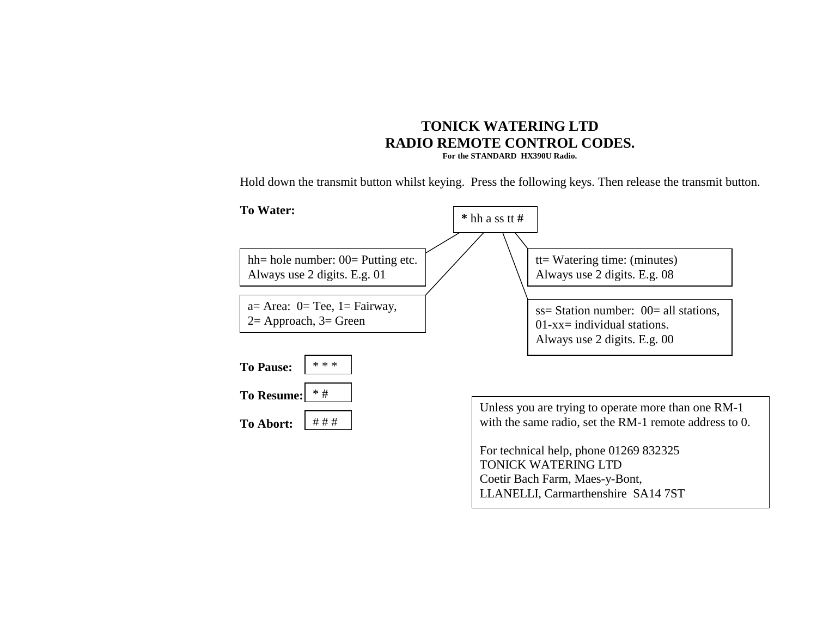# **TONICK WATERING LTD RADIO REMOTE CONTROL CODES. For the STANDARD HX390U Radio.**

Hold down the transmit button whilst keying. Press the following keys. Then release the transmit button.

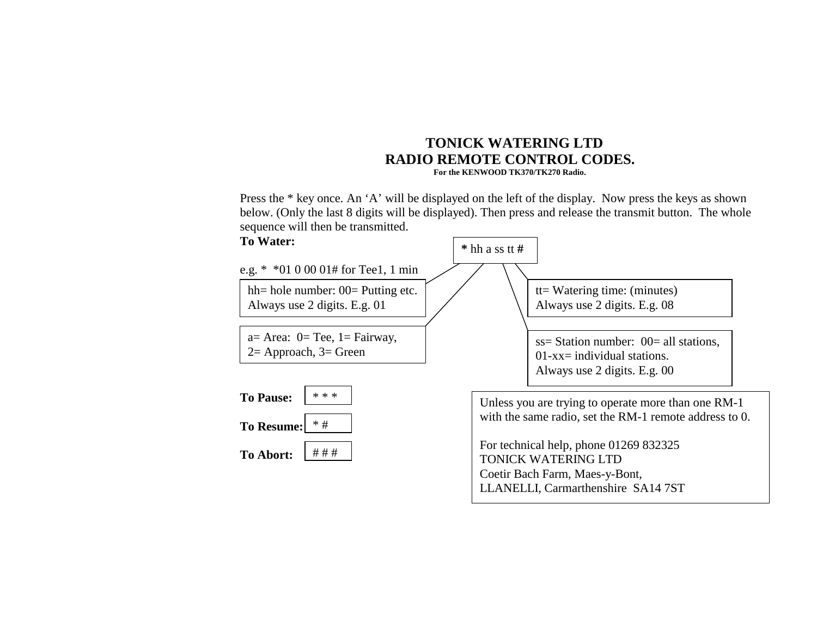## **TONICK WATERING LTD RADIO REMOTE CONTROL CODES. For the KENWOOD TK370/TK270 Radio.**

Press the \* key once. An 'A' will be displayed on the left of the display. Now press the keys as shown below. (Only the last 8 digits will be displayed). Then press and release the transmit button. The whole sequence will then be transmitted.

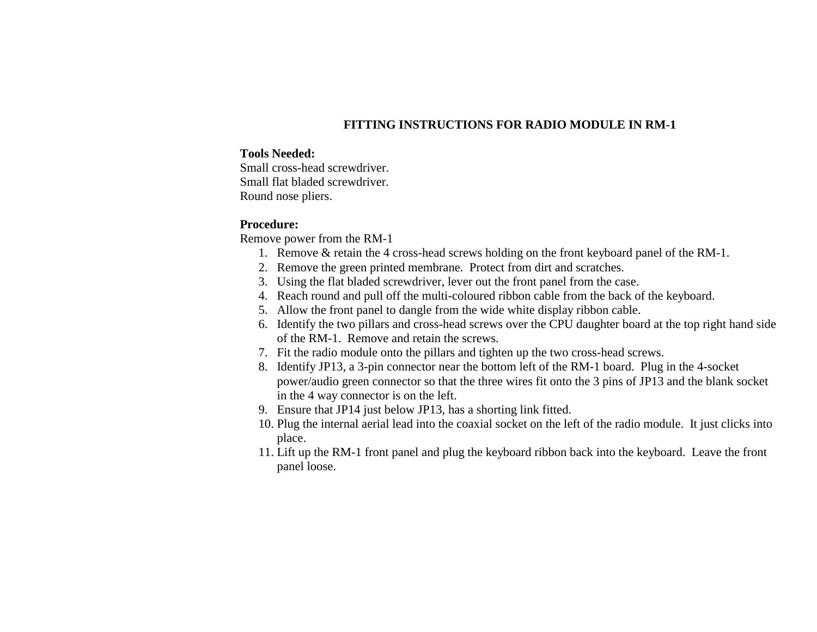## **FITTING INSTRUCTIONS FOR RADIO MODULE IN RM-1**

### **Tools Needed:**

Small cross-head screwdriver. Small flat bladed screwdriver. Round nose pliers.

### **Procedure:**

Remove power from the RM-1

- 1. Remove & retain the 4 cross-head screws holding on the front keyboard panel of the RM-1.
- 2. Remove the green printed membrane. Protect from dirt and scratches.
- 3. Using the flat bladed screwdriver, lever out the front panel from the case.
- 4. Reach round and pull off the multi-coloured ribbon cable from the back of the keyboard.
- 5. Allow the front panel to dangle from the wide white display ribbon cable.
- 6. Identify the two pillars and cross-head screws over the CPU daughter board at the top right hand side of the RM-1. Remove and retain the screws.
- 7. Fit the radio module onto the pillars and tighten up the two cross-head screws.
- 8. Identify JP13, a 3-pin connector near the bottom left of the RM-1 board. Plug in the 4-socket power/audio green connector so that the three wires fit onto the 3 pins of JP13 and the blank socket in the 4 way connector is on the left.
- 9. Ensure that JP14 just below JP13, has a shorting link fitted.
- 10. Plug the internal aerial lead into the coaxial socket on the left of the radio module. It just clicks into place.
- 11. Lift up the RM-1 front panel and plug the keyboard ribbon back into the keyboard. Leave the front panel loose.